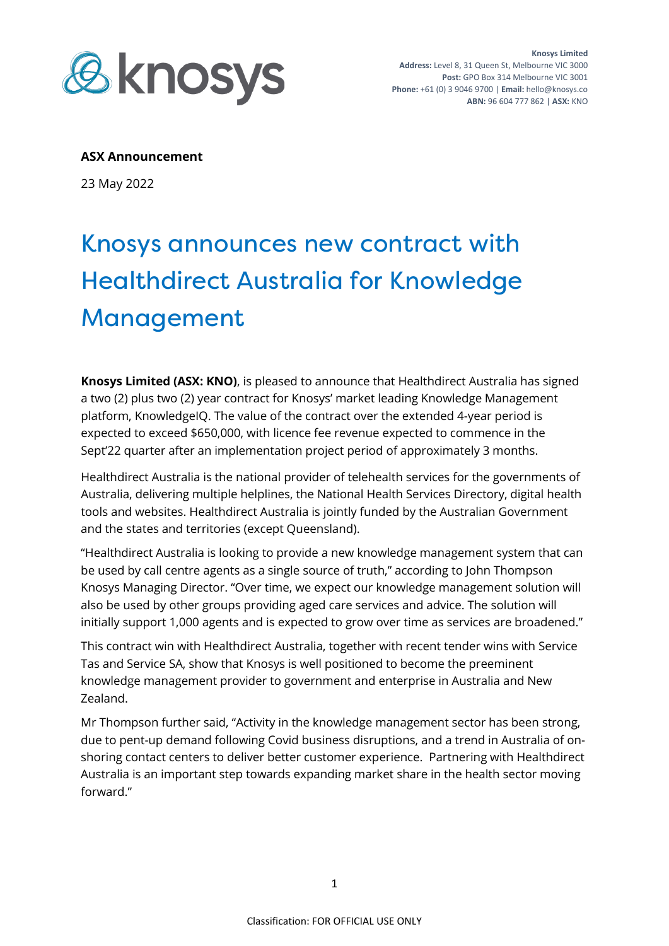

## **ASX Announcement**

23 May 2022

## Knosys announces new contract with Healthdirect Australia for Knowledge Management

**Knosys Limited (ASX: KNO)**, is pleased to announce that Healthdirect Australia has signed a two (2) plus two (2) year contract for Knosys' market leading Knowledge Management platform, KnowledgeIQ. The value of the contract over the extended 4-year period is expected to exceed \$650,000, with licence fee revenue expected to commence in the Sept'22 quarter after an implementation project period of approximately 3 months.

Healthdirect Australia is the national provider of telehealth services for the governments of Australia, delivering multiple helplines, the National Health Services Directory, digital health tools and websites. Healthdirect Australia is jointly funded by the Australian Government and the states and territories (except Queensland).

"Healthdirect Australia is looking to provide a new knowledge management system that can be used by call centre agents as a single source of truth," according to John Thompson Knosys Managing Director. "Over time, we expect our knowledge management solution will also be used by other groups providing aged care services and advice. The solution will initially support 1,000 agents and is expected to grow over time as services are broadened."

This contract win with Healthdirect Australia, together with recent tender wins with Service Tas and Service SA, show that Knosys is well positioned to become the preeminent knowledge management provider to government and enterprise in Australia and New Zealand.

Mr Thompson further said, "Activity in the knowledge management sector has been strong, due to pent-up demand following Covid business disruptions, and a trend in Australia of onshoring contact centers to deliver better customer experience. Partnering with Healthdirect Australia is an important step towards expanding market share in the health sector moving forward."